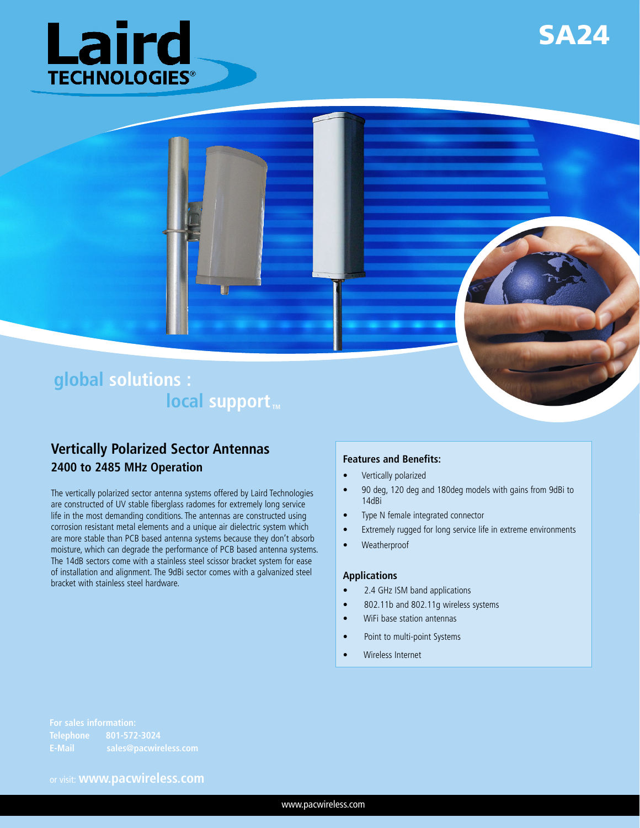





# **Vertically Polarized Sector Antennas 2400 to 2485 MHz Operation**

The vertically polarized sector antenna systems offered by Laird Technologies are constructed of UV stable fiberglass radomes for extremely long service life in the most demanding conditions. The antennas are constructed using corrosion resistant metal elements and a unique air dielectric system which are more stable than PCB based antenna systems because they don't absorb moisture, which can degrade the performance of PCB based antenna systems. The 14dB sectors come with a stainless steel scissor bracket system for ease of installation and alignment. The 9dBi sector comes with a galvanized steel bracket with stainless steel hardware.

#### **Features and Benefits:**

- Vertically polarized
- 90 deg, 120 deg and 180deg models with gains from 9dBi to 14dBi
- Type N female integrated connector
- Extremely rugged for long service life in extreme environments
- • Weatherproof

#### **Applications**

- 2.4 GHz ISM band applications
- 802.11b and 802.11g wireless systems
- WiFi base station antennas
- • Point to multi-point Systems
- Wireless Internet

**E-Mail sales@pacwireless.com**

or visit: **www.pacwireless.com**